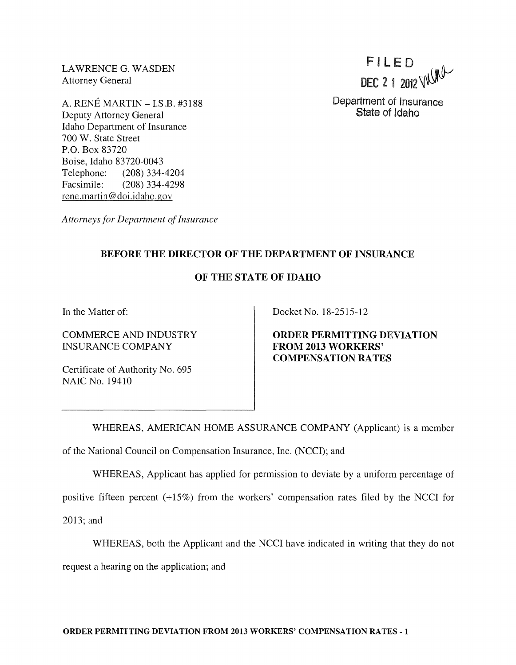LAWRENCE G. WASDEN Attorney General

A. RENE MARTIN - LS.B. #3188 Deputy Attorney General Idaho Department of Insurance 700 W. State Street P.O. Box 83720 Boise, Idaho 83720-0043 Telephone: (208) 334-4204 Facsimile: (208) 334-4298 rene.martin@doi.idaho.gov

FILE D DEC 2 1 2012 WUMP

Department of Insurance State of Idaho

*Attorneys for Department of Insurance* 

## **BEFORE THE DIRECTOR OF THE DEPARTMENT OF INSURANCE**

## **OF THE STATE OF IDAHO**

**In** the Matter of:

COMMERCE AND INDUSTRY INSURANCE COMPANY

Certificate of Authority No. 695 NAIC No. 19410

Docket No. 18-2515-12

**ORDER PERMITTING DEVIATION FROM 2013 WORKERS' COMPENSATION RATES** 

WHEREAS, AMERICAN HOME ASSURANCE COMPANY (Applicant) is a member of the National Council on Compensation Insurance, Inc. (NCCI); and

WHEREAS, Applicant has applied for permission to deviate by a uniform percentage of

positive fifteen percent (+15%) from the workers' compensation rates filed by the NCCI for

2013; and

WHEREAS, both the Applicant and the NCCI have indicated in writing that they do not

request a hearing on the application; and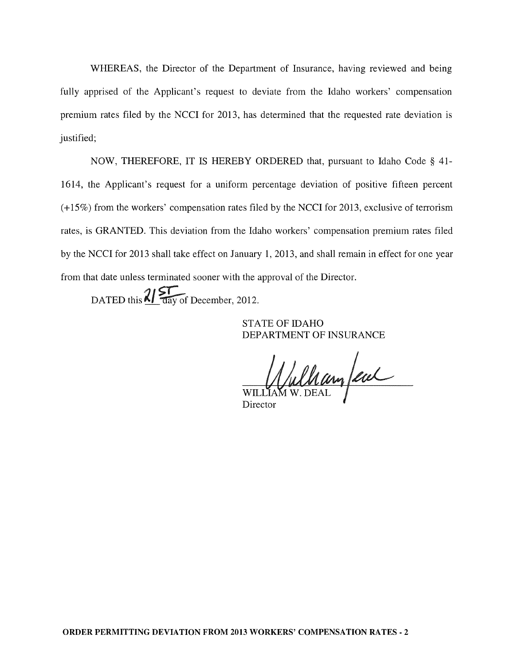WHEREAS, the Director of the Department of Insurance, having reviewed and being fully apprised of the Applicant's request to deviate from the Idaho workers' compensation premium rates filed by the NCCI for 2013, has determined that the requested rate deviation is justified;

NOW, THEREFORE, IT IS HEREBY ORDERED that, pursuant to Idaho Code § 41- 1614, the Applicant's request for a uniform percentage deviation of positive fifteen percent (+15%) from the workers' compensation rates filed by the NCCI for 2013, exclusive of terrorism rates, is GRANTED. This deviation from the Idaho workers' compensation premium rates filed by the NCCI for 2013 shall take effect on January 1,2013, and shall remain in effect for one year from that date unless terminated sooner with the approval of the Director.

DATED this  $\frac{2}{\sqrt{2}}$  day of December, 2012.

STATE OF IDAHO DEPARTMENT OF INSURANCE

William few

Director